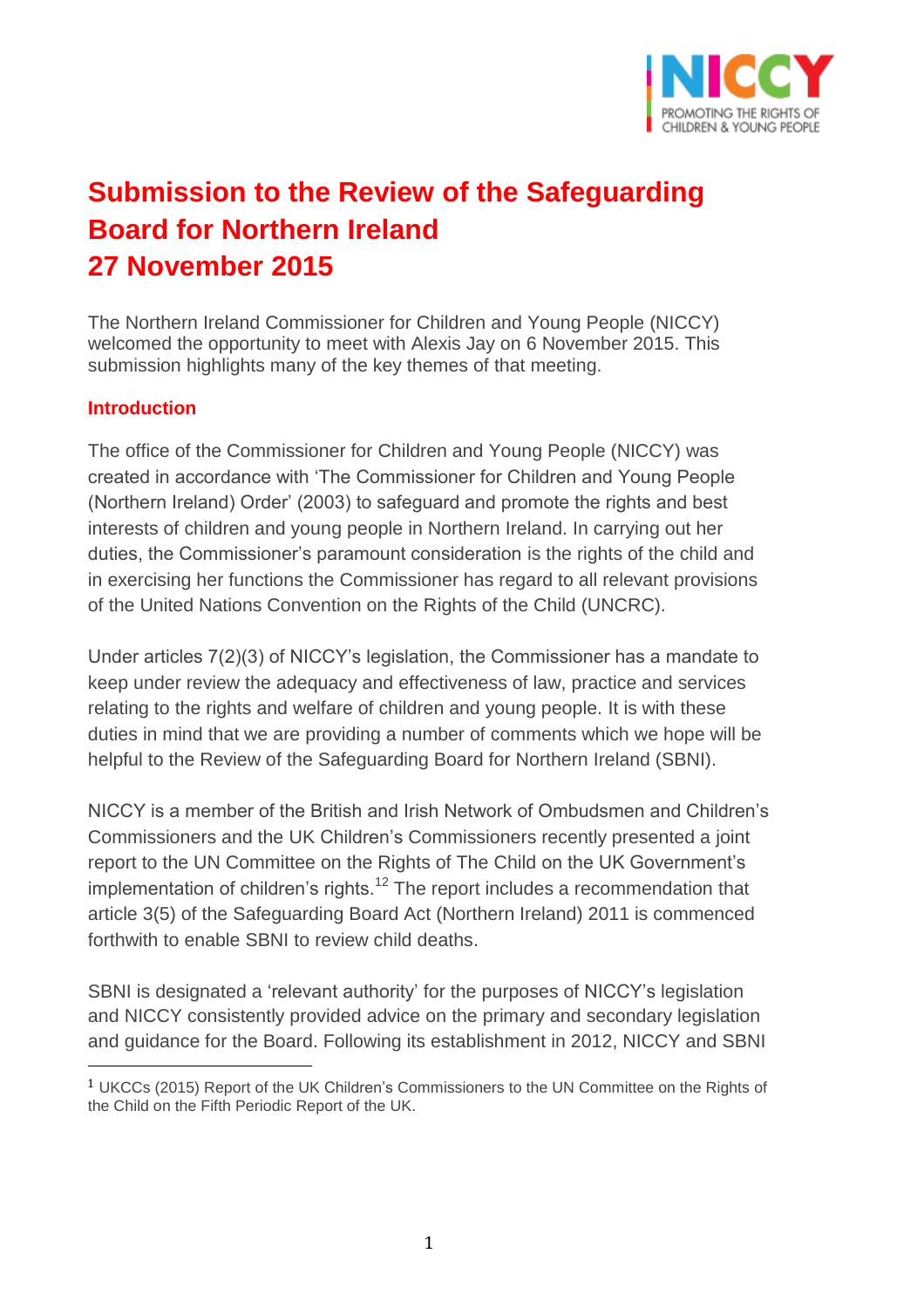

# **Submission to the Review of the Safeguarding Board for Northern Ireland 27 November 2015**

The Northern Ireland Commissioner for Children and Young People (NICCY) welcomed the opportunity to meet with Alexis Jay on 6 November 2015. This submission highlights many of the key themes of that meeting.

# **Introduction**

 $\overline{a}$ 

The office of the Commissioner for Children and Young People (NICCY) was created in accordance with 'The Commissioner for Children and Young People (Northern Ireland) Order' (2003) to safeguard and promote the rights and best interests of children and young people in Northern Ireland. In carrying out her duties, the Commissioner's paramount consideration is the rights of the child and in exercising her functions the Commissioner has regard to all relevant provisions of the United Nations Convention on the Rights of the Child (UNCRC).

Under articles 7(2)(3) of NICCY's legislation, the Commissioner has a mandate to keep under review the adequacy and effectiveness of law, practice and services relating to the rights and welfare of children and young people. It is with these duties in mind that we are providing a number of comments which we hope will be helpful to the Review of the Safeguarding Board for Northern Ireland (SBNI).

NICCY is a member of the British and Irish Network of Ombudsmen and Children's Commissioners and the UK Children's Commissioners recently presented a joint report to the UN Committee on the Rights of The Child on the UK Government's implementation of children's rights. $^{12}$  The report includes a recommendation that article 3(5) of the Safeguarding Board Act (Northern Ireland) 2011 is commenced forthwith to enable SBNI to review child deaths.

SBNI is designated a 'relevant authority' for the purposes of NICCY's legislation and NICCY consistently provided advice on the primary and secondary legislation and guidance for the Board. Following its establishment in 2012, NICCY and SBNI

<sup>1</sup> UKCCs (2015) Report of the UK Children's Commissioners to the UN Committee on the Rights of the Child on the Fifth Periodic Report of the UK.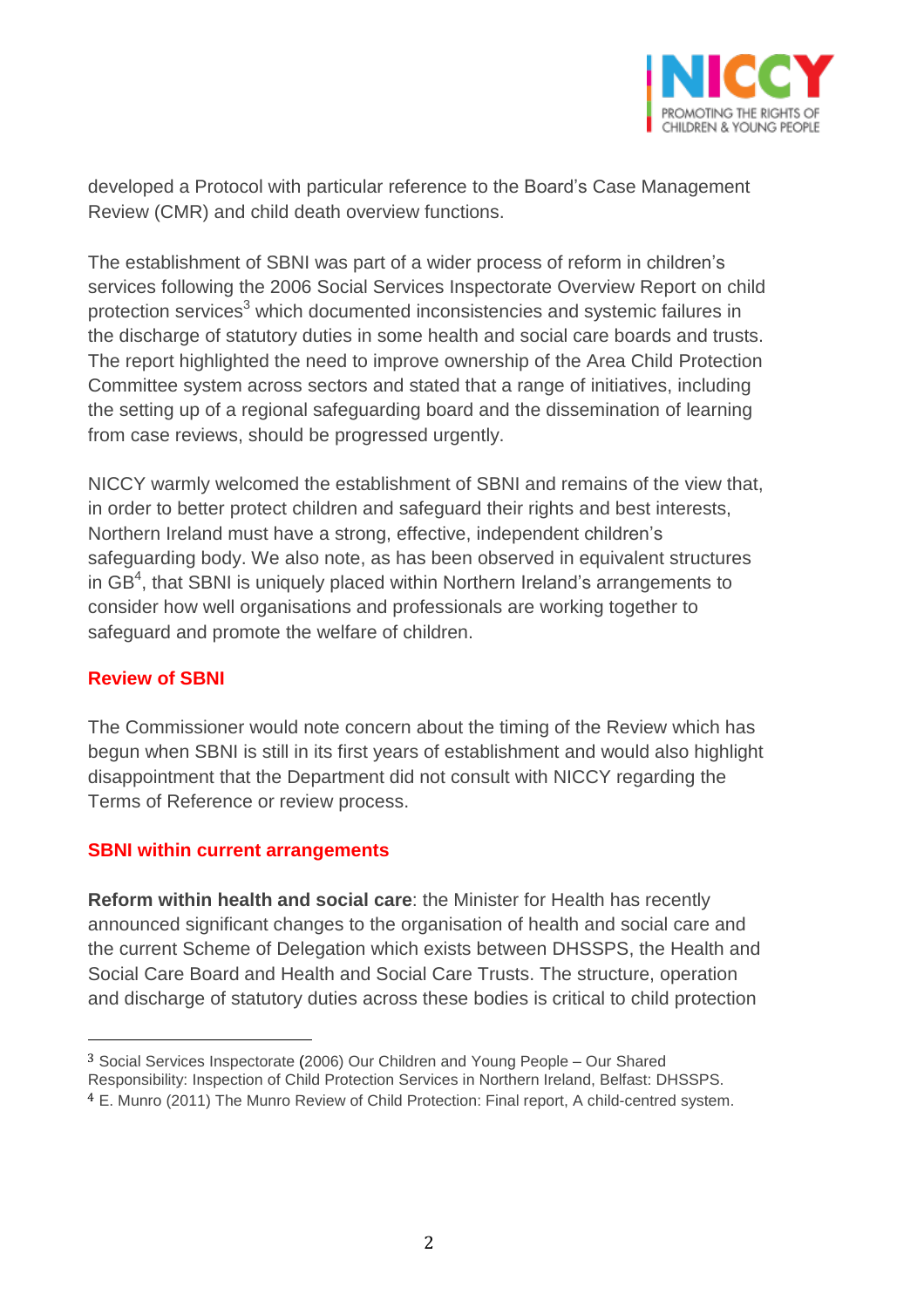

developed a Protocol with particular reference to the Board's Case Management Review (CMR) and child death overview functions.

The establishment of SBNI was part of a wider process of reform in children's services following the 2006 Social Services Inspectorate Overview Report on child protection services<sup>3</sup> which documented inconsistencies and systemic failures in the discharge of statutory duties in some health and social care boards and trusts. The report highlighted the need to improve ownership of the Area Child Protection Committee system across sectors and stated that a range of initiatives, including the setting up of a regional safeguarding board and the dissemination of learning from case reviews, should be progressed urgently.

NICCY warmly welcomed the establishment of SBNI and remains of the view that, in order to better protect children and safeguard their rights and best interests, Northern Ireland must have a strong, effective, independent children's safeguarding body. We also note, as has been observed in equivalent structures in GB $^4$ , that SBNI is uniquely placed within Northern Ireland's arrangements to consider how well organisations and professionals are working together to safeguard and promote the welfare of children.

## **Review of SBNI**

 $\overline{a}$ 

The Commissioner would note concern about the timing of the Review which has begun when SBNI is still in its first years of establishment and would also highlight disappointment that the Department did not consult with NICCY regarding the Terms of Reference or review process.

## **SBNI within current arrangements**

**Reform within health and social care**: the Minister for Health has recently announced significant changes to the organisation of health and social care and the current Scheme of Delegation which exists between DHSSPS, the Health and Social Care Board and Health and Social Care Trusts. The structure, operation and discharge of statutory duties across these bodies is critical to child protection

<sup>3</sup> Social Services Inspectorate (2006) Our Children and Young People – Our Shared

Responsibility: Inspection of Child Protection Services in Northern Ireland, Belfast: DHSSPS.

<sup>4</sup> E. Munro (2011) The Munro Review of Child Protection: Final report, A child-centred system.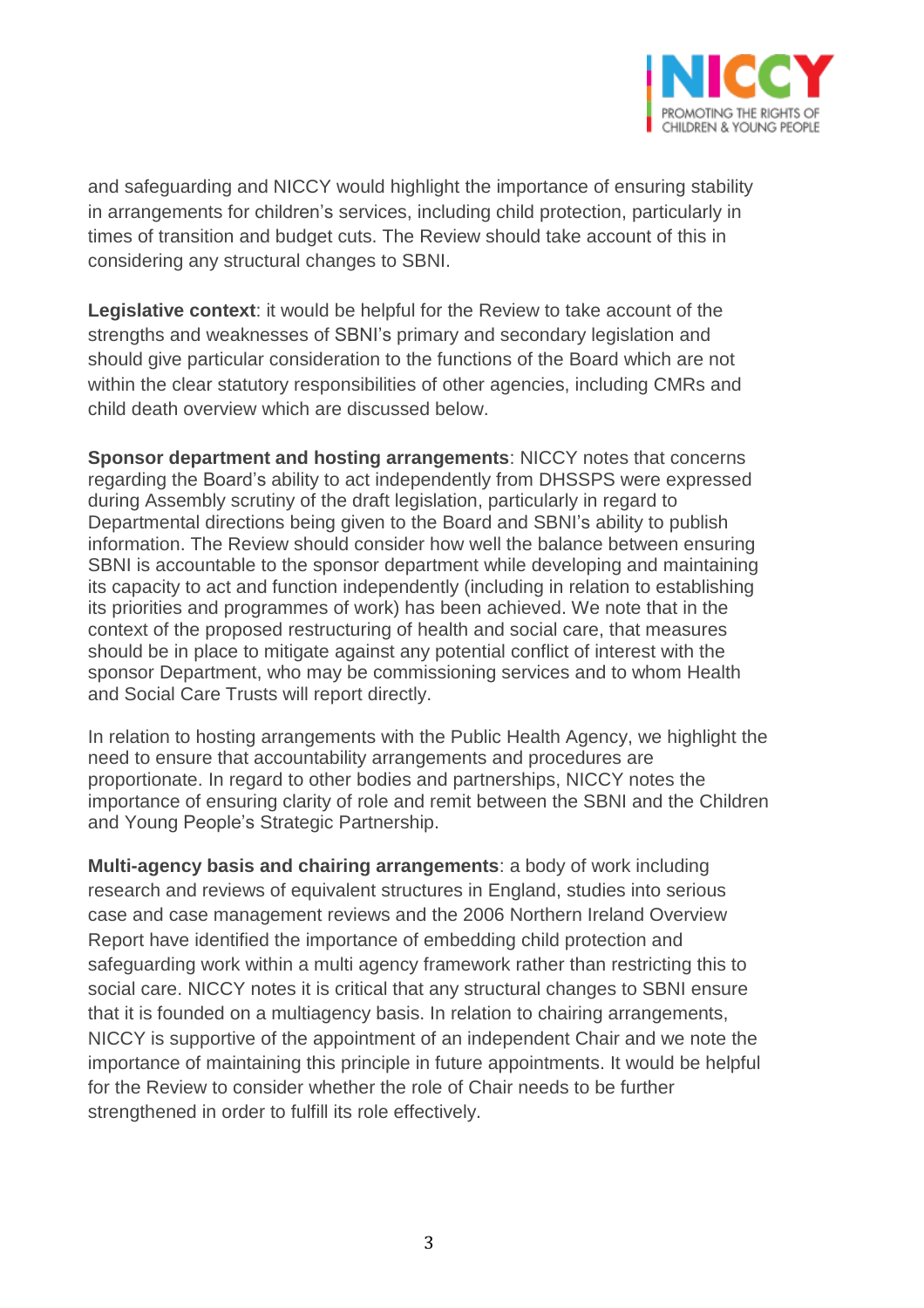

and safeguarding and NICCY would highlight the importance of ensuring stability in arrangements for children's services, including child protection, particularly in times of transition and budget cuts. The Review should take account of this in considering any structural changes to SBNI.

**Legislative context**: it would be helpful for the Review to take account of the strengths and weaknesses of SBNI's primary and secondary legislation and should give particular consideration to the functions of the Board which are not within the clear statutory responsibilities of other agencies, including CMRs and child death overview which are discussed below.

**Sponsor department and hosting arrangements**: NICCY notes that concerns regarding the Board's ability to act independently from DHSSPS were expressed during Assembly scrutiny of the draft legislation, particularly in regard to Departmental directions being given to the Board and SBNI's ability to publish information. The Review should consider how well the balance between ensuring SBNI is accountable to the sponsor department while developing and maintaining its capacity to act and function independently (including in relation to establishing its priorities and programmes of work) has been achieved. We note that in the context of the proposed restructuring of health and social care, that measures should be in place to mitigate against any potential conflict of interest with the sponsor Department, who may be commissioning services and to whom Health and Social Care Trusts will report directly.

In relation to hosting arrangements with the Public Health Agency, we highlight the need to ensure that accountability arrangements and procedures are proportionate. In regard to other bodies and partnerships, NICCY notes the importance of ensuring clarity of role and remit between the SBNI and the Children and Young People's Strategic Partnership.

**Multi-agency basis and chairing arrangements**: a body of work including research and reviews of equivalent structures in England, studies into serious case and case management reviews and the 2006 Northern Ireland Overview Report have identified the importance of embedding child protection and safeguarding work within a multi agency framework rather than restricting this to social care. NICCY notes it is critical that any structural changes to SBNI ensure that it is founded on a multiagency basis. In relation to chairing arrangements, NICCY is supportive of the appointment of an independent Chair and we note the importance of maintaining this principle in future appointments. It would be helpful for the Review to consider whether the role of Chair needs to be further strengthened in order to fulfill its role effectively.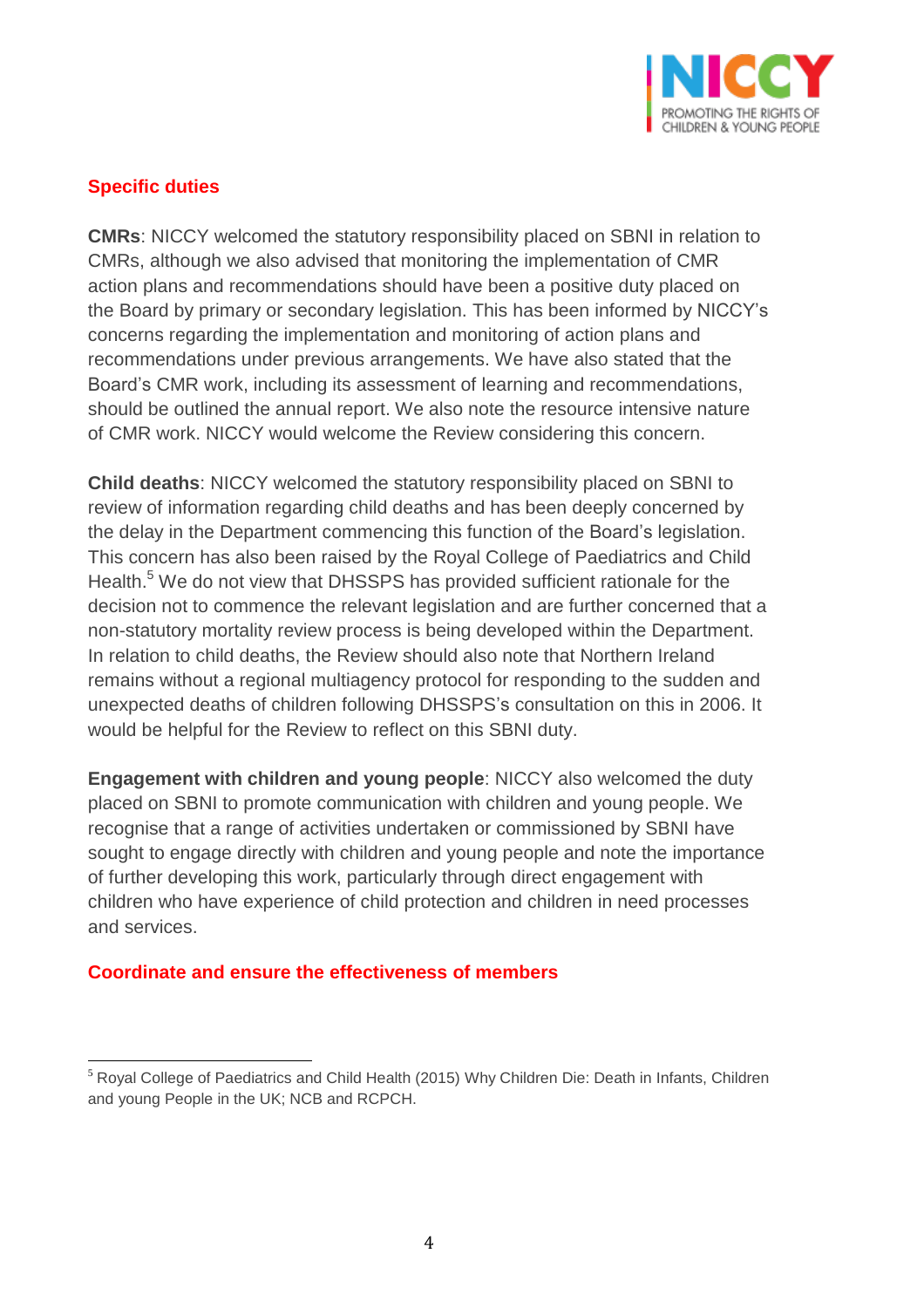

# **Specific duties**

**CMRs**: NICCY welcomed the statutory responsibility placed on SBNI in relation to CMRs, although we also advised that monitoring the implementation of CMR action plans and recommendations should have been a positive duty placed on the Board by primary or secondary legislation. This has been informed by NICCY's concerns regarding the implementation and monitoring of action plans and recommendations under previous arrangements. We have also stated that the Board's CMR work, including its assessment of learning and recommendations, should be outlined the annual report. We also note the resource intensive nature of CMR work. NICCY would welcome the Review considering this concern.

**Child deaths**: NICCY welcomed the statutory responsibility placed on SBNI to review of information regarding child deaths and has been deeply concerned by the delay in the Department commencing this function of the Board's legislation. This concern has also been raised by the Royal College of Paediatrics and Child Health.<sup>5</sup> We do not view that DHSSPS has provided sufficient rationale for the decision not to commence the relevant legislation and are further concerned that a non-statutory mortality review process is being developed within the Department. In relation to child deaths, the Review should also note that Northern Ireland remains without a regional multiagency protocol for responding to the sudden and unexpected deaths of children following DHSSPS's consultation on this in 2006. It would be helpful for the Review to reflect on this SBNI duty.

**Engagement with children and young people**: NICCY also welcomed the duty placed on SBNI to promote communication with children and young people. We recognise that a range of activities undertaken or commissioned by SBNI have sought to engage directly with children and young people and note the importance of further developing this work, particularly through direct engagement with children who have experience of child protection and children in need processes and services.

## **Coordinate and ensure the effectiveness of members**

 $\overline{a}$ <sup>5</sup> Royal College of Paediatrics and Child Health (2015) Why Children Die: Death in Infants, Children and young People in the UK; NCB and RCPCH.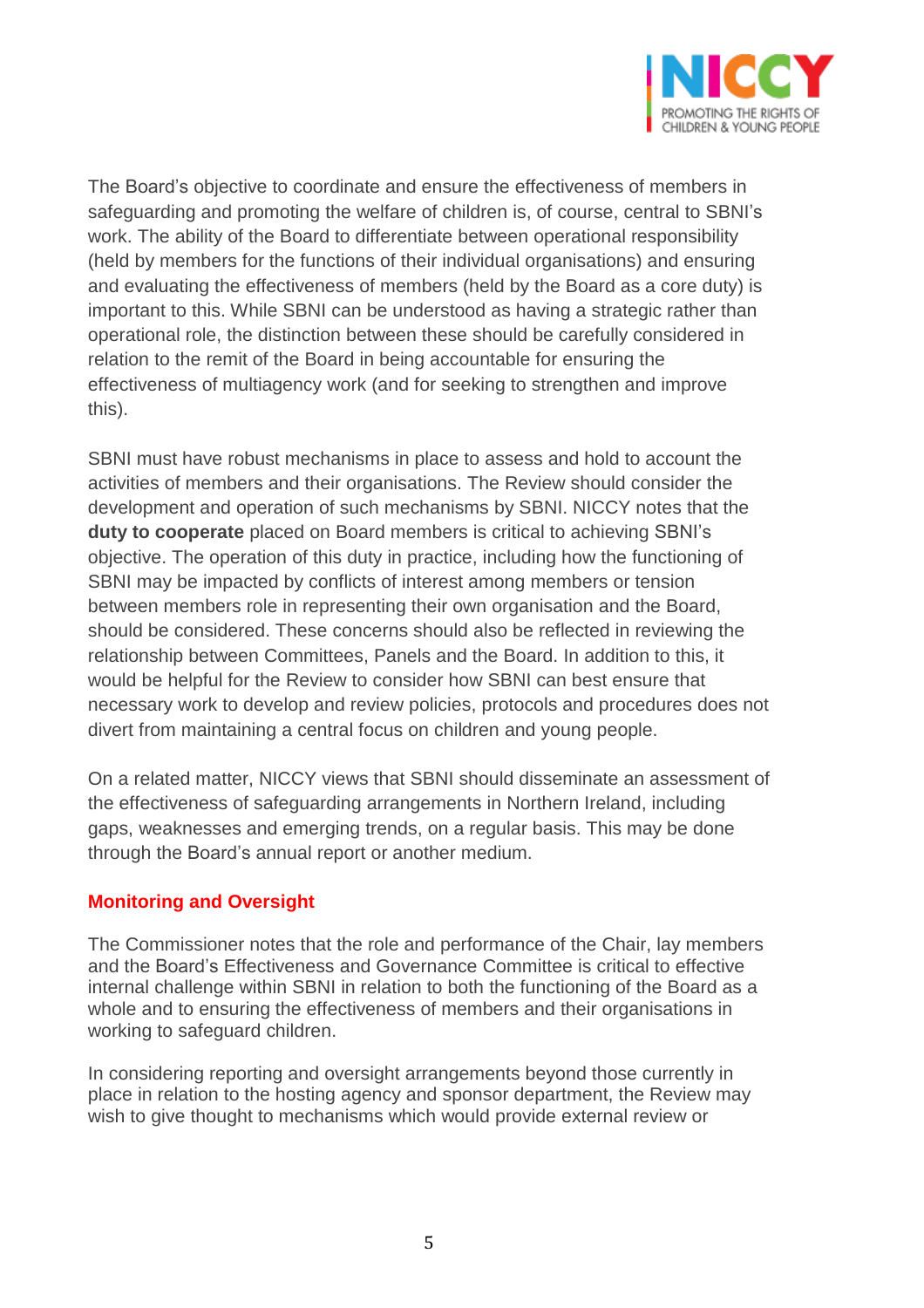

The Board's objective to coordinate and ensure the effectiveness of members in safeguarding and promoting the welfare of children is, of course, central to SBNI's work. The ability of the Board to differentiate between operational responsibility (held by members for the functions of their individual organisations) and ensuring and evaluating the effectiveness of members (held by the Board as a core duty) is important to this. While SBNI can be understood as having a strategic rather than operational role, the distinction between these should be carefully considered in relation to the remit of the Board in being accountable for ensuring the effectiveness of multiagency work (and for seeking to strengthen and improve this).

SBNI must have robust mechanisms in place to assess and hold to account the activities of members and their organisations. The Review should consider the development and operation of such mechanisms by SBNI. NICCY notes that the **duty to cooperate** placed on Board members is critical to achieving SBNI's objective. The operation of this duty in practice, including how the functioning of SBNI may be impacted by conflicts of interest among members or tension between members role in representing their own organisation and the Board, should be considered. These concerns should also be reflected in reviewing the relationship between Committees, Panels and the Board. In addition to this, it would be helpful for the Review to consider how SBNI can best ensure that necessary work to develop and review policies, protocols and procedures does not divert from maintaining a central focus on children and young people.

On a related matter, NICCY views that SBNI should disseminate an assessment of the effectiveness of safeguarding arrangements in Northern Ireland, including gaps, weaknesses and emerging trends, on a regular basis. This may be done through the Board's annual report or another medium.

## **Monitoring and Oversight**

The Commissioner notes that the role and performance of the Chair, lay members and the Board's Effectiveness and Governance Committee is critical to effective internal challenge within SBNI in relation to both the functioning of the Board as a whole and to ensuring the effectiveness of members and their organisations in working to safeguard children.

In considering reporting and oversight arrangements beyond those currently in place in relation to the hosting agency and sponsor department, the Review may wish to give thought to mechanisms which would provide external review or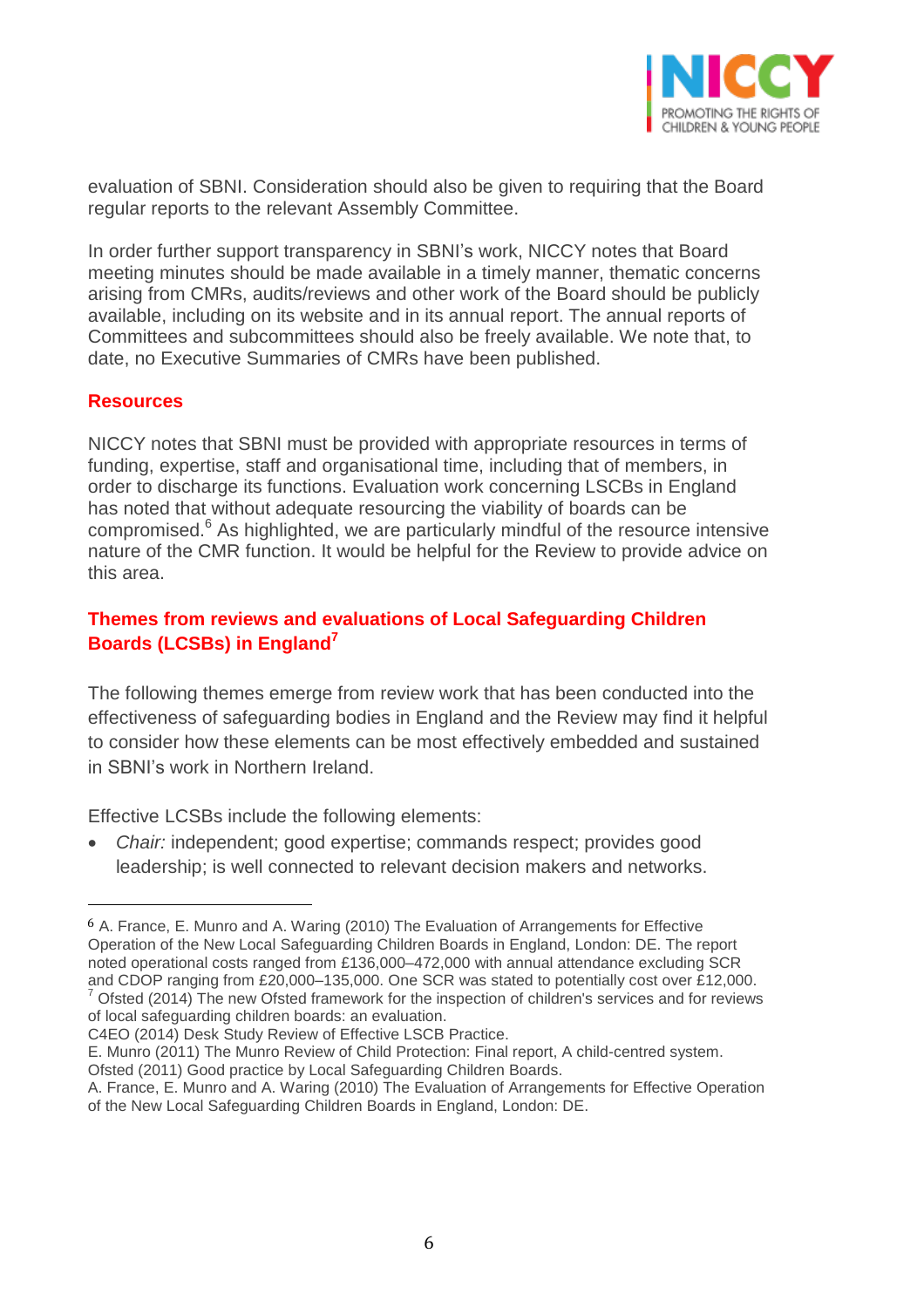

evaluation of SBNI. Consideration should also be given to requiring that the Board regular reports to the relevant Assembly Committee.

In order further support transparency in SBNI's work, NICCY notes that Board meeting minutes should be made available in a timely manner, thematic concerns arising from CMRs, audits/reviews and other work of the Board should be publicly available, including on its website and in its annual report. The annual reports of Committees and subcommittees should also be freely available. We note that, to date, no Executive Summaries of CMRs have been published.

#### **Resources**

 $\overline{a}$ 

NICCY notes that SBNI must be provided with appropriate resources in terms of funding, expertise, staff and organisational time, including that of members, in order to discharge its functions. Evaluation work concerning LSCBs in England has noted that without adequate resourcing the viability of boards can be compromised.<sup>6</sup> As highlighted, we are particularly mindful of the resource intensive nature of the CMR function. It would be helpful for the Review to provide advice on this area.

# **Themes from reviews and evaluations of Local Safeguarding Children Boards (LCSBs) in England<sup>7</sup>**

The following themes emerge from review work that has been conducted into the effectiveness of safeguarding bodies in England and the Review may find it helpful to consider how these elements can be most effectively embedded and sustained in SBNI's work in Northern Ireland.

Effective LCSBs include the following elements:

 *Chair:* independent; good expertise; commands respect; provides good leadership; is well connected to relevant decision makers and networks.

C4EO (2014) Desk Study Review of Effective LSCB Practice.

<sup>6</sup> A. France, E. Munro and A. Waring (2010) The Evaluation of Arrangements for Effective Operation of the New Local Safeguarding Children Boards in England, London: DE. The report noted operational costs ranged from £136,000–472,000 with annual attendance excluding SCR and CDOP ranging from £20,000–135,000. One SCR was stated to potentially cost over £12,000.

Ofsted (2014) The new Ofsted framework for the inspection of children's services and for reviews of local safeguarding children boards: an evaluation.

E. Munro (2011) The Munro Review of Child Protection: Final report, A child-centred system. Ofsted (2011) Good practice by Local Safeguarding Children Boards.

A. France, E. Munro and A. Waring (2010) The Evaluation of Arrangements for Effective Operation of the New Local Safeguarding Children Boards in England, London: DE.